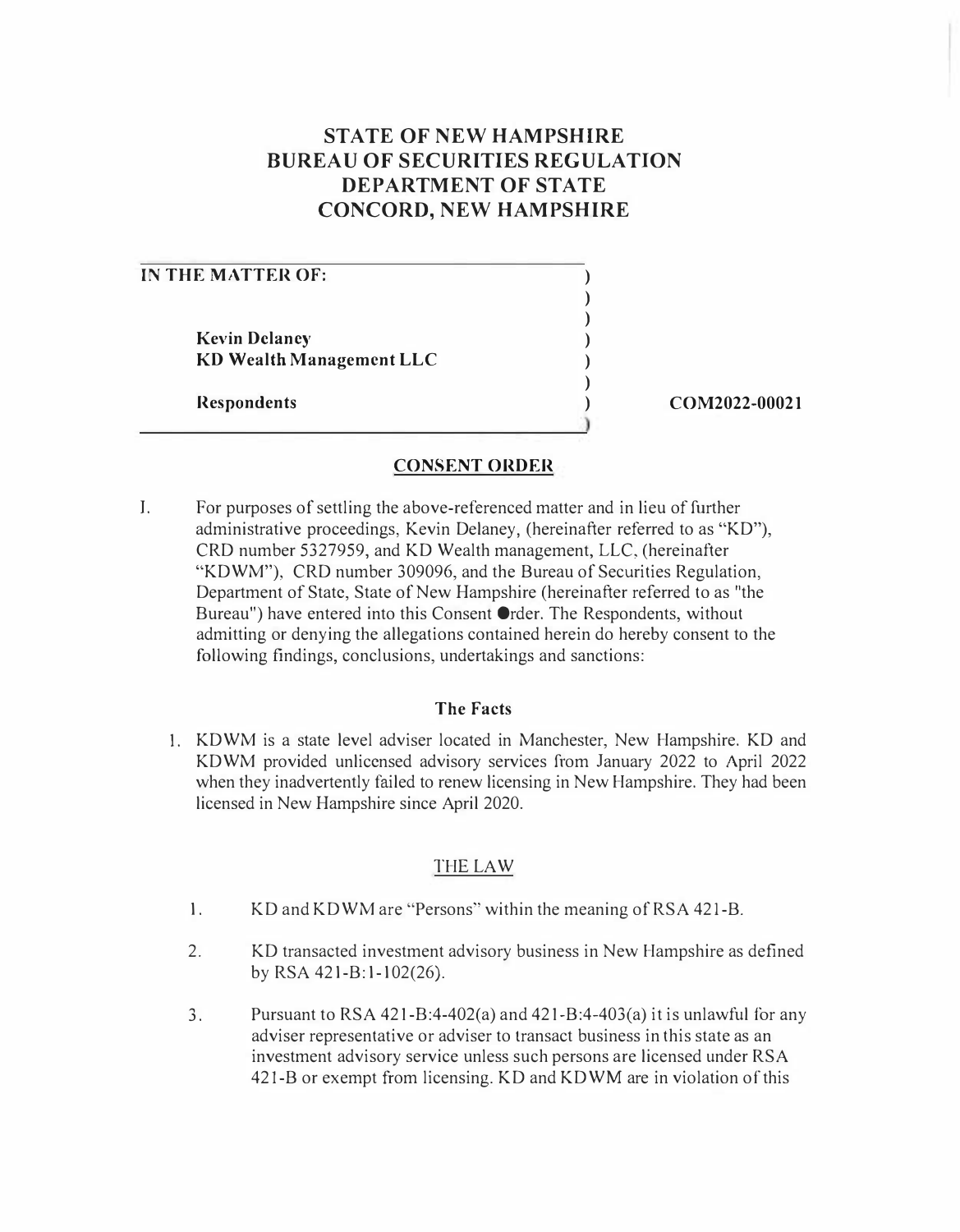## **STATE OF NEW HAMPSHIRE BUREAU OF SECURITIES REGULATION DEPARTMENT OF STATE CONCORD, NEW HAMPSHIRE**

| IN THE MATTER OF:        |               |
|--------------------------|---------------|
|                          |               |
|                          |               |
| <b>Kevin Delaney</b>     |               |
| KD Wealth Management LLC |               |
|                          |               |
| <b>Respondents</b>       | COM2022-00021 |
|                          |               |

## **CONSENT ORDER**

I. For purposes of settling the above-referenced matter and in lieu of further administrative proceedings, Kevin Delaney, (hereinafter referred to as "KD"), CRD number 5327959, and KD Wealth management, LLC, (hereinafter "KDWM"), CRD number 309096, and the Bureau of Securities Regulation, Department of State, State of New Hampshire (hereinafter referred to as "the Bureau") have entered into this Consent Order. The Respondents, without admitting or denying the allegations contained herein do hereby consent to the following findings, conclusions, undertakings and sanctions:

## **The Facts**

1. KDWM is a state level adviser located in Manchester, New Hampshire. KD and KDWM provided unlicensed advisory services from January 2022 to April 2022 when they inadvertently failed to renew licensing in New Hampshire. They had been licensed in New Hampshire since April 2020.

## THE LAW

- 1. KD and KDWM are "Persons" within the meaning of RSA 421-B.
- 2. KD transacted investment advisory business in New Hampshire as defined by RSA 421-B:1-102(26).
- 3. Pursuant to RSA 42l-B:4-402(a) and 42l-B:4-403(a) it is unlawful for any adviser representative or adviser to transact business in this state as an investment advisory service unless such persons are licensed under RSA 421-B or exempt from licensing. KD and KDWM are in violation of this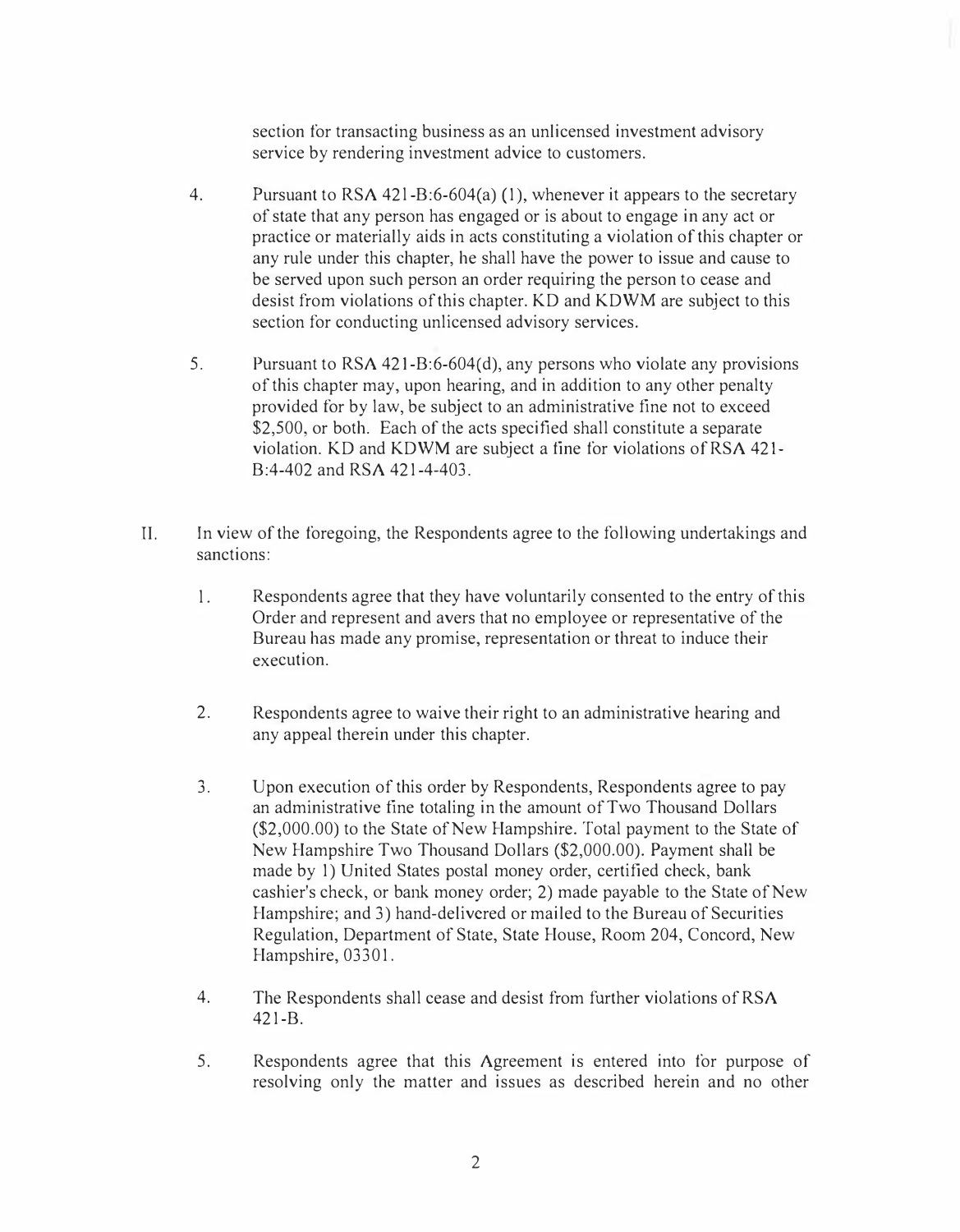**section for transacting business as an unlicensed investment advisory service by rendering investment advice to customers.** 

- **4. Pursuant to RSA 42 l -B:6-604(a) ( 1 ), whenever it appears to the secretary of state that any person has engaged or is about to engage in any act or practice or materially aids in acts constituting a violation of this chapter or any rule under this chapter, he shall have the power to issue and cause to be served upon such person an order requiring the person to cease and desist from violations of this chapter. KD and KDWM are subject to this section for conducting unlicensed advisory services.**
- **5. Pursuant to RSA 421-B:6-604(d), any persons who violate any provisions of this chapter may, upon hearing, and in addition to any other penalty provided for by law, be subject to an administrative fine not to exceed \$2,500, or both. Each of the acts specified shall constitute a separate violation. KD and KDWM are subject a fine for violations of RSA 42 l-B:4-402 and RSA 421-4-403.**
- **II. In view of the foregoing, the Respondents agree to the following undertakings and sanctions:** 
	- **l. Respondents agree that they have voluntarily consented to the entry of this Order and represent and avers that no employee or representative of the Bureau has made any promise, representation or threat to induce their execution.**
	- **2. Respondents agree to waive their right to an administrative hearing and any appeal therein under this chapter.**
	- **3. Upon execution of this order by Respondents, Respondents agree to pay an administrative fine totaling in the amount of Two Thousand Dollars (\$2,000.00) to the State of New Hampshire. Total payment to the State of New Hampshire Two Thousand Dollars (\$2,000.00). Payment shall be made by 1) United States postal money order, certified check, bank cashier's check, or bank money order; 2) made payable to the State of New Hampshire; and 3) hand-delivered or mailed to the Bureau of Securities Regulation, Department of State, State House, Room 204, Concord, New Hampshire, 03301.**
	- **4. The Respondents shall cease and desist from further violations of RSA 421-B.**
	- **5. Respondents agree that this Agreement is entered into for purpose of resolving only the matter and issues as described herein and no other**